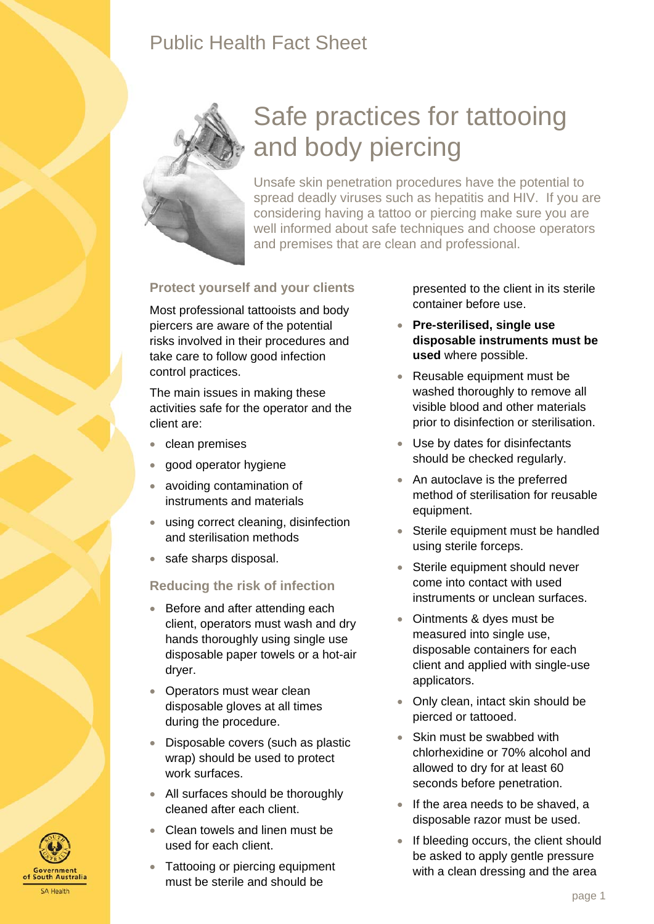## Public Health Fact Sheet



# Safe practices for tattooing and body piercing

Unsafe skin penetration procedures have the potential to spread deadly viruses such as hepatitis and HIV. If you are considering having a tattoo or piercing make sure you are well informed about safe techniques and choose operators and premises that are clean and professional.

#### **Protect yourself and your clients**

Most professional tattooists and body piercers are aware of the potential risks involved in their procedures and take care to follow good infection control practices.

The main issues in making these activities safe for the operator and the client are:

- clean premises
- good operator hygiene
- avoiding contamination of instruments and materials
- using correct cleaning, disinfection and sterilisation methods
- safe sharps disposal.

#### **Reducing the risk of infection**

- Before and after attending each client, operators must wash and dry hands thoroughly using single use disposable paper towels or a hot-air dryer.
- Operators must wear clean disposable gloves at all times during the procedure.
- Disposable covers (such as plastic wrap) should be used to protect work surfaces.
- All surfaces should be thoroughly cleaned after each client.
- Clean towels and linen must be used for each client.
- Tattooing or piercing equipment must be sterile and should be

presented to the client in its sterile container before use.

- **Pre-sterilised, single use disposable instruments must be used** where possible.
- Reusable equipment must be washed thoroughly to remove all visible blood and other materials prior to disinfection or sterilisation.
- Use by dates for disinfectants should be checked regularly.
- An autoclave is the preferred method of sterilisation for reusable equipment.
- Sterile equipment must be handled using sterile forceps.
- Sterile equipment should never come into contact with used instruments or unclean surfaces.
- Ointments & dyes must be measured into single use, disposable containers for each client and applied with single-use applicators.
- Only clean, intact skin should be pierced or tattooed.
- Skin must be swabbed with chlorhexidine or 70% alcohol and allowed to dry for at least 60 seconds before penetration.
- If the area needs to be shaved, a disposable razor must be used.
- If bleeding occurs, the client should be asked to apply gentle pressure with a clean dressing and the area

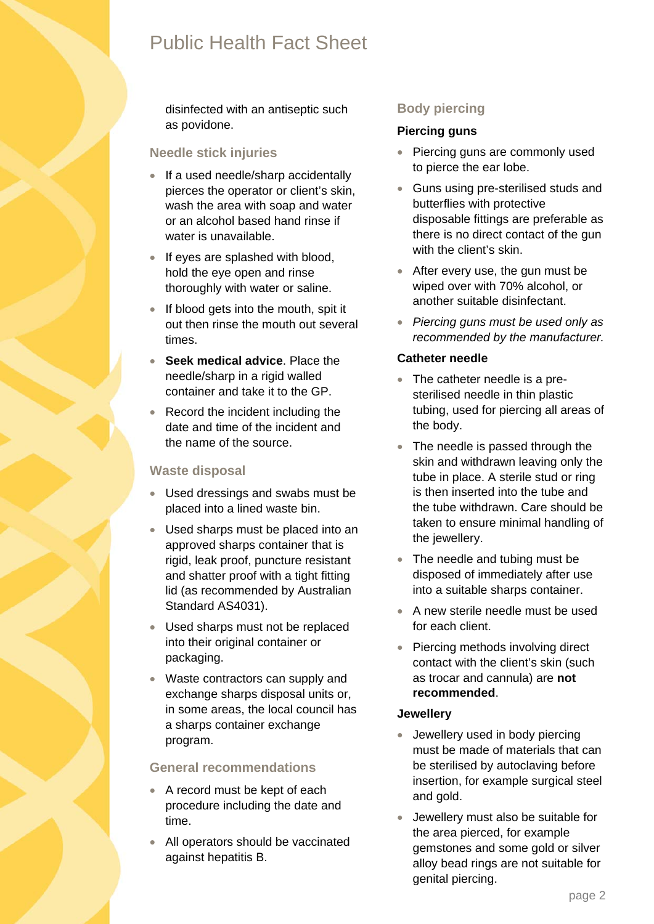## Public Health Fact Sheet

disinfected with an antiseptic such as povidone.

#### **Needle stick injuries**

- If a used needle/sharp accidentally pierces the operator or client's skin, wash the area with soap and water or an alcohol based hand rinse if water is unavailable.
- If eyes are splashed with blood, hold the eye open and rinse thoroughly with water or saline.
- If blood gets into the mouth, spit it out then rinse the mouth out several times.
- **Seek medical advice**. Place the needle/sharp in a rigid walled container and take it to the GP.
- Record the incident including the date and time of the incident and the name of the source.

#### **Waste disposal**

- Used dressings and swabs must be placed into a lined waste bin.
- Used sharps must be placed into an approved sharps container that is rigid, leak proof, puncture resistant and shatter proof with a tight fitting lid (as recommended by Australian Standard AS4031).
- Used sharps must not be replaced into their original container or packaging.
- Waste contractors can supply and exchange sharps disposal units or, in some areas, the local council has a sharps container exchange program.

#### **General recommendations**

- A record must be kept of each procedure including the date and time.
- All operators should be vaccinated against hepatitis B.

### **Body piercing**

#### **Piercing guns**

- Piercing guns are commonly used to pierce the ear lobe.
- Guns using pre-sterilised studs and butterflies with protective disposable fittings are preferable as there is no direct contact of the gun with the client's skin.
- After every use, the gun must be wiped over with 70% alcohol, or another suitable disinfectant.
- *Piercing guns must be used only as recommended by the manufacturer.*

#### **Catheter needle**

- The catheter needle is a presterilised needle in thin plastic tubing, used for piercing all areas of the body.
- The needle is passed through the skin and withdrawn leaving only the tube in place. A sterile stud or ring is then inserted into the tube and the tube withdrawn. Care should be taken to ensure minimal handling of the jewellery.
- The needle and tubing must be disposed of immediately after use into a suitable sharps container.
- A new sterile needle must be used for each client.
- Piercing methods involving direct contact with the client's skin (such as trocar and cannula) are **not recommended**.

#### **Jewellery**

- Jewellery used in body piercing must be made of materials that can be sterilised by autoclaving before insertion, for example surgical steel and gold.
- Jewellery must also be suitable for the area pierced, for example gemstones and some gold or silver alloy bead rings are not suitable for genital piercing.